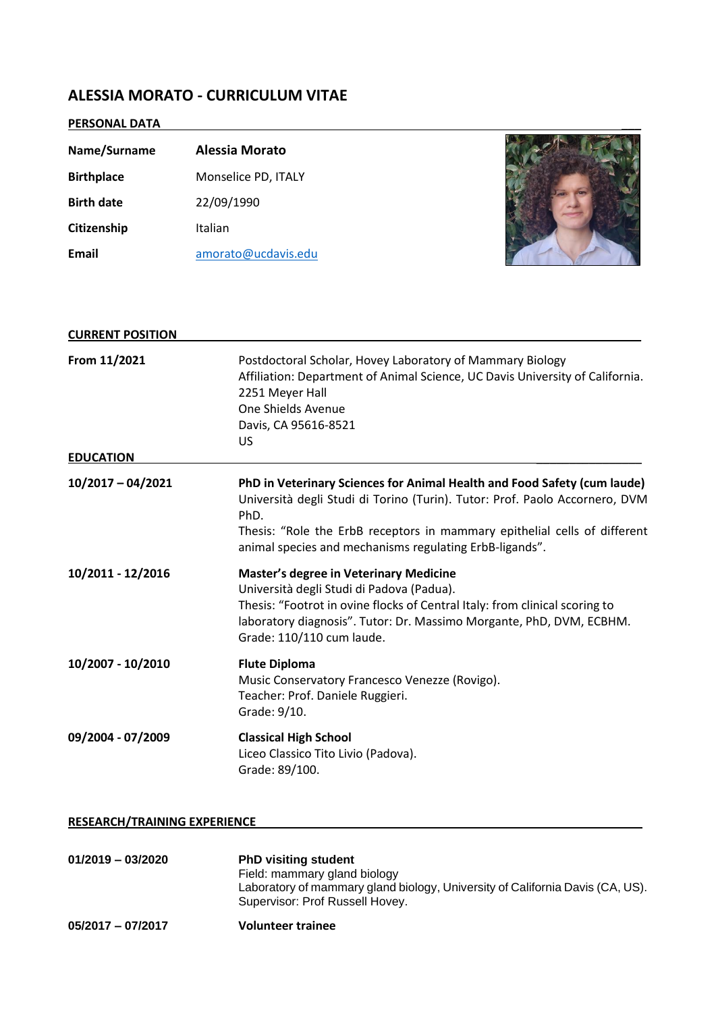## **ALESSIA MORATO - CURRICULUM VITAE**

# **PERSONAL DATA** \_\_\_

| Name/Surname      | <b>Alessia Morato</b> |  |
|-------------------|-----------------------|--|
| <b>Birthplace</b> | Monselice PD, ITALY   |  |
| <b>Birth date</b> | 22/09/1990            |  |
| Citizenship       | Italian               |  |
| Email             | amorato@ucdavis.edu   |  |

| <b>CURRENT POSITION</b> |                                                                                                                                                                                                                                                                                                         |  |
|-------------------------|---------------------------------------------------------------------------------------------------------------------------------------------------------------------------------------------------------------------------------------------------------------------------------------------------------|--|
| From 11/2021            | Postdoctoral Scholar, Hovey Laboratory of Mammary Biology<br>Affiliation: Department of Animal Science, UC Davis University of California.<br>2251 Meyer Hall<br>One Shields Avenue<br>Davis, CA 95616-8521<br>US                                                                                       |  |
| <b>EDUCATION</b>        |                                                                                                                                                                                                                                                                                                         |  |
| $10/2017 - 04/2021$     | PhD in Veterinary Sciences for Animal Health and Food Safety (cum laude)<br>Università degli Studi di Torino (Turin). Tutor: Prof. Paolo Accornero, DVM<br>PhD.<br>Thesis: "Role the ErbB receptors in mammary epithelial cells of different<br>animal species and mechanisms regulating ErbB-ligands". |  |
| 10/2011 - 12/2016       | <b>Master's degree in Veterinary Medicine</b><br>Università degli Studi di Padova (Padua).<br>Thesis: "Footrot in ovine flocks of Central Italy: from clinical scoring to<br>laboratory diagnosis". Tutor: Dr. Massimo Morgante, PhD, DVM, ECBHM.<br>Grade: 110/110 cum laude.                          |  |
| 10/2007 - 10/2010       | <b>Flute Diploma</b><br>Music Conservatory Francesco Venezze (Rovigo).<br>Teacher: Prof. Daniele Ruggieri.<br>Grade: 9/10.                                                                                                                                                                              |  |
| 09/2004 - 07/2009       | <b>Classical High School</b><br>Liceo Classico Tito Livio (Padova).<br>Grade: 89/100.                                                                                                                                                                                                                   |  |

### **RESEARCH/TRAINING EXPERIENCE** \_\_\_\_\_\_\_\_\_\_\_\_\_\_\_\_\_\_\_\_\_\_\_\_\_\_\_\_\_

| $01/2019 - 03/2020$ | <b>PhD visiting student</b><br>Field: mammary gland biology<br>Laboratory of mammary gland biology, University of California Davis (CA, US).<br>Supervisor: Prof Russell Hovey. |
|---------------------|---------------------------------------------------------------------------------------------------------------------------------------------------------------------------------|
| $05/2017 - 07/2017$ | <b>Volunteer trainee</b>                                                                                                                                                        |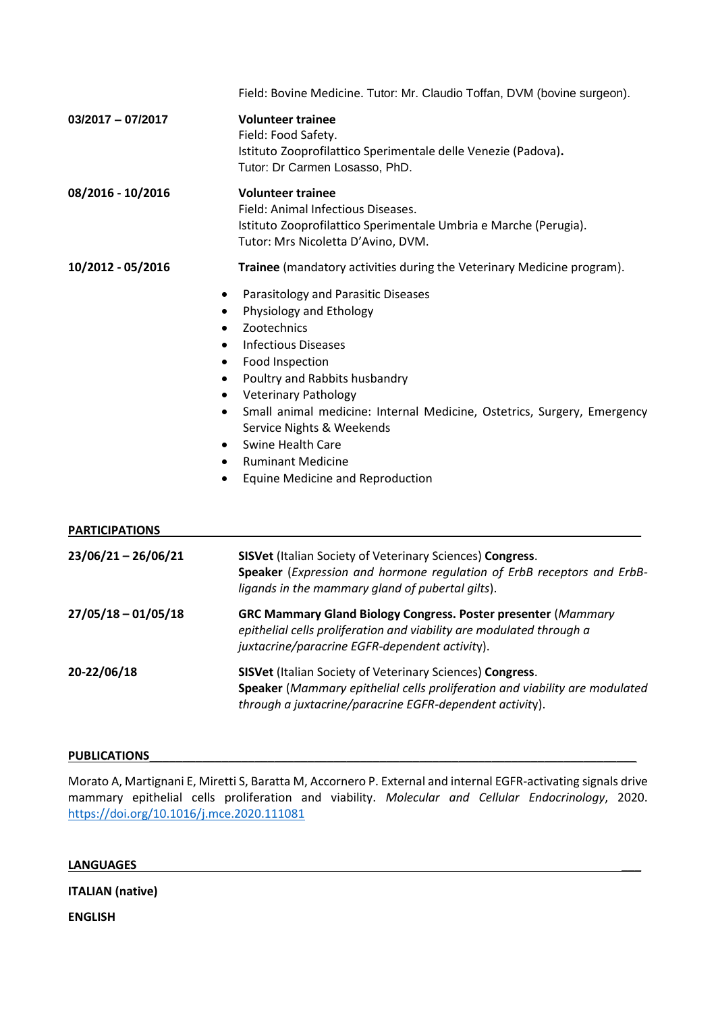|                       | Field: Bovine Medicine. Tutor: Mr. Claudio Toffan, DVM (bovine surgeon).                                                                                                                                                                                                                                                                                                                                                                                                                                                                  |  |  |
|-----------------------|-------------------------------------------------------------------------------------------------------------------------------------------------------------------------------------------------------------------------------------------------------------------------------------------------------------------------------------------------------------------------------------------------------------------------------------------------------------------------------------------------------------------------------------------|--|--|
| $03/2017 - 07/2017$   | <b>Volunteer trainee</b><br>Field: Food Safety.<br>Istituto Zooprofilattico Sperimentale delle Venezie (Padova).<br>Tutor: Dr Carmen Losasso, PhD.                                                                                                                                                                                                                                                                                                                                                                                        |  |  |
| 08/2016 - 10/2016     | <b>Volunteer trainee</b><br>Field: Animal Infectious Diseases.<br>Istituto Zooprofilattico Sperimentale Umbria e Marche (Perugia).<br>Tutor: Mrs Nicoletta D'Avino, DVM.                                                                                                                                                                                                                                                                                                                                                                  |  |  |
| 10/2012 - 05/2016     | Trainee (mandatory activities during the Veterinary Medicine program).                                                                                                                                                                                                                                                                                                                                                                                                                                                                    |  |  |
|                       | Parasitology and Parasitic Diseases<br>$\bullet$<br>Physiology and Ethology<br>$\bullet$<br>Zootechnics<br>$\bullet$<br><b>Infectious Diseases</b><br>$\bullet$<br>Food Inspection<br>$\bullet$<br>Poultry and Rabbits husbandry<br>٠<br><b>Veterinary Pathology</b><br>$\bullet$<br>Small animal medicine: Internal Medicine, Ostetrics, Surgery, Emergency<br>$\bullet$<br>Service Nights & Weekends<br>Swine Health Care<br>$\bullet$<br><b>Ruminant Medicine</b><br>$\bullet$<br><b>Equine Medicine and Reproduction</b><br>$\bullet$ |  |  |
| <b>PARTICIPATIONS</b> |                                                                                                                                                                                                                                                                                                                                                                                                                                                                                                                                           |  |  |
| 23/06/21-26/06/21     | <b>SISVet (Italian Society of Veterinary Sciences) Congress.</b><br>Speaker (Expression and hormone regulation of ErbB receptors and ErbB-<br>ligands in the mammary gland of pubertal gilts).                                                                                                                                                                                                                                                                                                                                            |  |  |
| $27/05/18 - 01/05/18$ | GRC Mammary Gland Biology Congress. Poster presenter (Mammary<br>epithelial cells proliferation and viability are modulated through a<br>juxtacrine/paracrine EGFR-dependent activity).                                                                                                                                                                                                                                                                                                                                                   |  |  |
| 20-22/06/18           | <b>SISVet (Italian Society of Veterinary Sciences) Congress.</b><br>Speaker (Mammary epithelial cells proliferation and viability are modulated<br>through a juxtacrine/paracrine EGFR-dependent activity).                                                                                                                                                                                                                                                                                                                               |  |  |

#### PUBLICATIONS

Morato A, Martignani E, Miretti S, Baratta M, Accornero P. External and internal EGFR-activating signals drive mammary epithelial cells proliferation and viability. *Molecular and Cellular Endocrinology*, 2020. <https://doi.org/10.1016/j.mce.2020.111081>

### **LANGUAGES** \_\_\_

**ITALIAN (native)**

**ENGLISH**